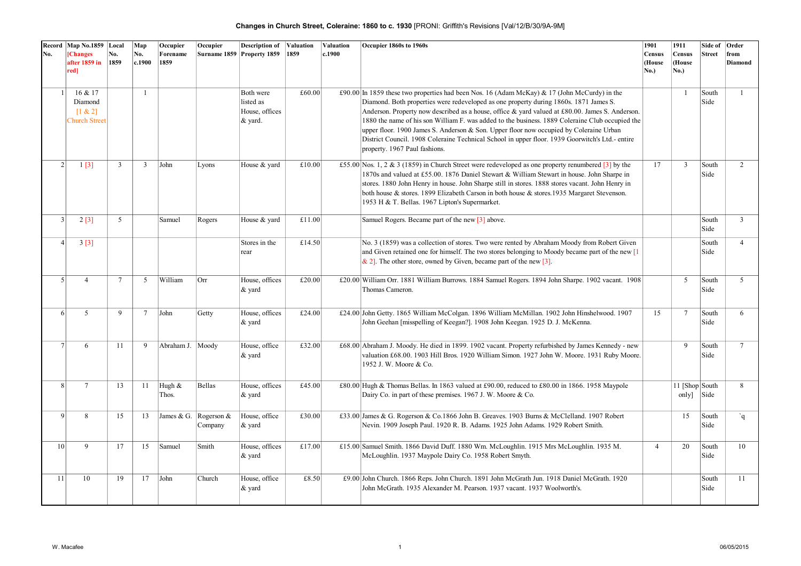| No.             | Record Map No.1859 Local<br><b>[Changes</b><br>after 1859 in            | No.<br>1859 | Map<br>No.<br>c.1900 | Occupier<br>Forename<br>1859 | Occupier                         | <b>Description of</b><br>Surname 1859 Property 1859 | Valuation<br>1859 | Valuation<br>c.1900 | Occupier 1860s to 1960s                                                                                                                                                                                                                                                                                                                                                                                                                                                                                                                                                                                                   | 1901<br>Census<br>(House | 1911<br><b>Census</b><br>(House | Side of<br><b>Street</b> | Order<br>from<br><b>Diamond</b> |
|-----------------|-------------------------------------------------------------------------|-------------|----------------------|------------------------------|----------------------------------|-----------------------------------------------------|-------------------|---------------------|---------------------------------------------------------------------------------------------------------------------------------------------------------------------------------------------------------------------------------------------------------------------------------------------------------------------------------------------------------------------------------------------------------------------------------------------------------------------------------------------------------------------------------------------------------------------------------------------------------------------------|--------------------------|---------------------------------|--------------------------|---------------------------------|
|                 | red]                                                                    |             |                      |                              |                                  |                                                     |                   |                     |                                                                                                                                                                                                                                                                                                                                                                                                                                                                                                                                                                                                                           | No.)                     | No.)                            |                          |                                 |
|                 | 1 <sup>1</sup><br>16 & 17<br>Diamond<br>[1 & 2]<br><b>Church Street</b> |             | $\mathbf{1}$         |                              |                                  | Both were<br>listed as<br>House, offices<br>& yard. | £60.00            |                     | £90.00 In 1859 these two properties had been Nos. 16 (Adam McKay) & 17 (John McCurdy) in the<br>Diamond. Both properties were redeveloped as one property during 1860s. 1871 James S.<br>Anderson. Property now described as a house, office & yard valued at £80.00. James S. Anderson.<br>1880 the name of his son William F, was added to the business. 1889 Coleraine Club occupied the<br>upper floor. 1900 James S. Anderson & Son. Upper floor now occupied by Coleraine Urban<br>District Council. 1908 Coleraine Technical School in upper floor. 1939 Goorwitch's Ltd.- entire<br>property. 1967 Paul fashions. |                          | $\mathbf{1}$                    | South<br>Side            | $\mathbf{1}$                    |
|                 | 2 <sup>1</sup><br>1[3]                                                  | 3           | $\overline{3}$       | John                         | Lyons                            | House & yard                                        | £10.00            |                     | £55.00 Nos. 1, 2 & 3 (1859) in Church Street were redeveloped as one property renumbered $[3]$ by the<br>1870s and valued at £55.00. 1876 Daniel Stewart & William Stewart in house. John Sharpe in<br>stores. 1880 John Henry in house. John Sharpe still in stores. 1888 stores vacant. John Henry in<br>both house & stores. 1899 Elizabeth Carson in both house & stores. 1935 Margaret Stevenson.<br>1953 H & T. Bellas. 1967 Lipton's Supermarket.                                                                                                                                                                  | 17                       | $\overline{3}$                  | South<br>Side            | $\overline{2}$                  |
| $\overline{3}$  | 2[3]                                                                    | 5           |                      | Samuel                       | Rogers                           | House & yard                                        | £11.00            |                     | Samuel Rogers. Became part of the new [3] above.                                                                                                                                                                                                                                                                                                                                                                                                                                                                                                                                                                          |                          |                                 | South<br>Side            | $\overline{3}$                  |
| $\vert$         | 3[3]                                                                    |             |                      |                              |                                  | Stores in the<br>rear                               | £14.50            |                     | No. 3 (1859) was a collection of stores. Two were rented by Abraham Moody from Robert Given<br>and Given retained one for himself. The two stores belonging to Moody became part of the new $[1]$<br>$\&$ 2]. The other store, owned by Given, became part of the new [3].                                                                                                                                                                                                                                                                                                                                                |                          |                                 | South<br>Side            | $\overline{4}$                  |
|                 | $\vert$<br>$\boldsymbol{\Delta}$                                        | $\tau$      | 5                    | William                      | Orr                              | House, offices<br>$\&$ yard                         | £20.00            |                     | £20.00 William Orr. 1881 William Burrows. 1884 Samuel Rogers. 1894 John Sharpe. 1902 vacant. 1908<br>Thomas Cameron.                                                                                                                                                                                                                                                                                                                                                                                                                                                                                                      |                          | 5                               | South<br>Side            | 5                               |
|                 | 5<br>6 <sup>1</sup>                                                     | 9           | $7\phantom{.0}$      | John                         | Getty                            | House, offices<br>& yard                            | £24.00            |                     | £24.00 John Getty. 1865 William McColgan. 1896 William McMillan. 1902 John Hinshelwood. 1907<br>John Geehan [misspelling of Keegan?]. 1908 John Keegan. 1925 D. J. McKenna.                                                                                                                                                                                                                                                                                                                                                                                                                                               | 15                       | $7\phantom{.0}$                 | South<br>Side            | 6                               |
|                 | 7 <sup>1</sup><br>6                                                     | 11          | 9                    | Abraham J. Moody             |                                  | House, office<br>& yard                             | £32.00            |                     | £68.00 Abraham J. Moody. He died in 1899. 1902 vacant. Property refurbished by James Kennedy - new<br>valuation £68.00. 1903 Hill Bros. 1920 William Simon. 1927 John W. Moore. 1931 Ruby Moore.<br>1952 J. W. Moore & Co.                                                                                                                                                                                                                                                                                                                                                                                                |                          | 9                               | South<br>Side            | $7\overline{ }$                 |
|                 | $\lvert 8 \rvert$<br>$7\overline{ }$                                    | 13          | 11                   | Hugh &<br>Thos.              | <b>Bellas</b>                    | House, offices<br>& yard                            | £45.00            |                     | £80.00 Hugh & Thomas Bellas. In 1863 valued at £90.00, reduced to £80.00 in 1866. 1958 Maypole<br>Dairy Co. in part of these premises. 1967 J. W. Moore & Co.                                                                                                                                                                                                                                                                                                                                                                                                                                                             |                          | 11 [Shop South]<br>only         | Side                     | 8                               |
|                 | $\mathbf{Q}$<br>8                                                       | 15          | 13                   |                              | James & G. Rogerson &<br>Company | House, office<br>& yard                             | £30.00            |                     | £33.00 James & G. Rogerson & Co.1866 John B. Greaves. 1903 Burns & McClelland. 1907 Robert<br>Nevin. 1909 Joseph Paul. 1920 R. B. Adams. 1925 John Adams. 1929 Robert Smith.                                                                                                                                                                                                                                                                                                                                                                                                                                              |                          | 15                              | South<br>Side            | q                               |
| 10 <sup>1</sup> | 9                                                                       | 17          | 15                   | Samuel                       | Smith                            | House, offices<br>& yard                            | £17.00            |                     | £15.00 Samuel Smith. 1866 David Duff. 1880 Wm. McLoughlin. 1915 Mrs McLoughlin. 1935 M.<br>McLoughlin. 1937 Maypole Dairy Co. 1958 Robert Smyth.                                                                                                                                                                                                                                                                                                                                                                                                                                                                          | $\overline{4}$           | 20                              | South<br>Side            | 10                              |
| 11              | 10                                                                      | 19          | 17                   | John                         | Church                           | House, office<br>& yard                             | £8.50             |                     | £9.00 John Church. 1866 Reps. John Church. 1891 John McGrath Jun. 1918 Daniel McGrath. 1920<br>John McGrath. 1935 Alexander M. Pearson. 1937 vacant. 1937 Woolworth's.                                                                                                                                                                                                                                                                                                                                                                                                                                                    |                          |                                 | South<br>Side            | 11                              |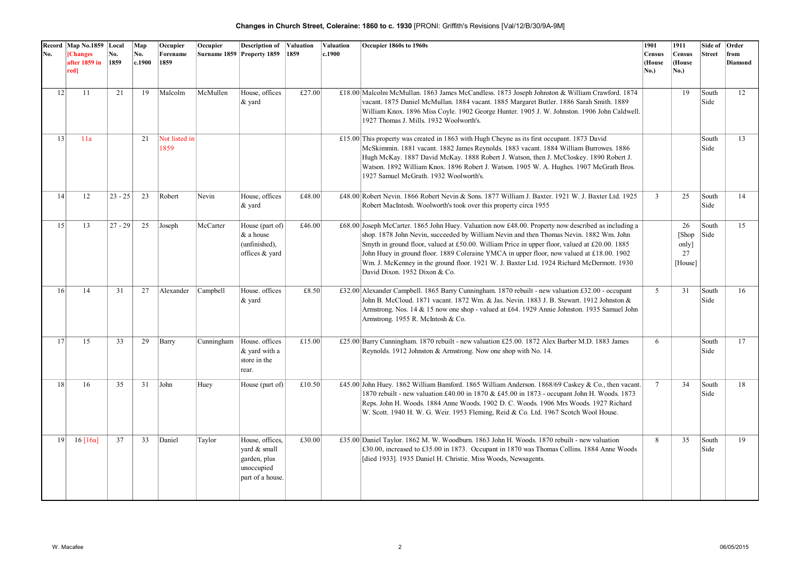| No. | Record   Map No.1859   Local<br>[Changes<br>after 1859 in | No.<br>1859 | Map<br>No.<br>c.1900 | Occupier<br>Forename<br>1859 | Occupier   | <b>Description of Valuation</b><br>Surname 1859 Property 1859                     | 1859   | Valuation<br>c.1900 | Occupier 1860s to 1960s                                                                                                                                                                                                                                                                                                                                                                                                                                                                                                  | 1901<br>Census<br>(House | 1911<br>Census<br>(House              | Side of<br><b>Street</b> | Order<br>from<br>Diamond |
|-----|-----------------------------------------------------------|-------------|----------------------|------------------------------|------------|-----------------------------------------------------------------------------------|--------|---------------------|--------------------------------------------------------------------------------------------------------------------------------------------------------------------------------------------------------------------------------------------------------------------------------------------------------------------------------------------------------------------------------------------------------------------------------------------------------------------------------------------------------------------------|--------------------------|---------------------------------------|--------------------------|--------------------------|
|     | red]                                                      |             |                      |                              |            |                                                                                   |        |                     |                                                                                                                                                                                                                                                                                                                                                                                                                                                                                                                          | No.)                     | <b>No.)</b>                           |                          |                          |
|     | 12 <br>11                                                 | 21          | 19                   | Malcolm                      | McMullen   | House, offices<br>$\&$ yard                                                       | £27.00 |                     | £18.00 Malcolm McMullan. 1863 James McCandless. 1873 Joseph Johnston & William Crawford. 1874<br>vacant. 1875 Daniel McMullan. 1884 vacant. 1885 Margaret Butler. 1886 Sarah Smith. 1889<br>William Knox. 1896 Miss Coyle. 1902 George Hunter. 1905 J. W. Johnston. 1906 John Caldwell.<br>1927 Thomas J. Mills. 1932 Woolworth's.                                                                                                                                                                                       |                          | 19                                    | South<br>Side            | 12                       |
| 13  | 11a                                                       |             | 21                   | Not listed in<br>1859        |            |                                                                                   |        |                     | £15.00 This property was created in 1863 with Hugh Cheyne as its first occupant. 1873 David<br>McSkimmin. 1881 vacant. 1882 James Reynolds. 1883 vacant. 1884 William Burrowes. 1886<br>Hugh McKay. 1887 David McKay. 1888 Robert J. Watson, then J. McCloskey. 1890 Robert J.<br>Watson. 1892 William Knox. 1896 Robert J. Watson. 1905 W. A. Hughes. 1907 McGrath Bros.<br>1927 Samuel McGrath. 1932 Woolworth's.                                                                                                      |                          |                                       | South<br>Side            | 13                       |
| 14  | 12                                                        | $23 - 25$   | 23                   | Robert                       | Nevin      | House, offices<br>$\&$ yard                                                       | £48.00 |                     | £48.00 Robert Nevin. 1866 Robert Nevin & Sons. 1877 William J. Baxter. 1921 W. J. Baxter Ltd. 1925<br>Robert MacIntosh. Woolworth's took over this property circa 1955                                                                                                                                                                                                                                                                                                                                                   | 3                        | 25                                    | South<br>Side            | 14                       |
| 15  | 13                                                        | $27 - 29$   | 25                   | Joseph                       | McCarter   | House (part of)<br>& a house<br>(unfinished),<br>offices & yard                   | £46.00 |                     | £68.00 Joseph McCarter. 1865 John Huey. Valuation now £48.00. Property now described as including a<br>shop. 1878 John Nevin, succeeded by William Nevin and then Thomas Nevin. 1882 Wm. John<br>Smyth in ground floor, valued at £50.00. William Price in upper floor, valued at £20.00. 1885<br>John Huey in ground floor. 1889 Coleraine YMCA in upper floor, now valued at £18.00. 1902<br>Wm. J. McKenney in the ground floor. 1921 W. J. Baxter Ltd. 1924 Richard McDermott. 1930<br>David Dixon. 1952 Dixon & Co. |                          | 26<br>[Shop]<br>only<br>27<br>[House] | South<br>Side            | 15                       |
| 16  | 14                                                        | 31          | 27                   | Alexander                    | Campbell   | House. offices<br>$\&$ yard                                                       | £8.50  |                     | £32.00 Alexander Campbell. 1865 Barry Cunningham. 1870 rebuilt - new valuation £32.00 - occupant<br>John B. McCloud. 1871 vacant. 1872 Wm. & Jas. Nevin. 1883 J. B. Stewart. 1912 Johnston &<br>Armstrong. Nos. 14 & 15 now one shop - valued at £64. 1929 Annie Johnston. 1935 Samuel John<br>Armstrong. 1955 R. McIntosh & Co.                                                                                                                                                                                         | 5                        | 31                                    | South<br>Side            | 16                       |
| 17  | 15                                                        | 33          | 29                   | Barry                        | Cunningham | House, offices<br>& yard with a<br>store in the<br>rear.                          | £15.00 |                     | £25.00 Barry Cunningham. 1870 rebuilt - new valuation £25.00. 1872 Alex Barber M.D. 1883 James<br>Reynolds. 1912 Johnston & Armstrong. Now one shop with No. 14.                                                                                                                                                                                                                                                                                                                                                         | 6                        |                                       | South<br>Side            | 17                       |
|     | 18<br>16                                                  | 35          | 31                   | John                         | Huey       | House (part of)                                                                   | £10.50 |                     | £45.00 John Huey. 1862 William Bamford. 1865 William Anderson. 1868/69 Caskey & Co., then vacant.<br>1870 rebuilt - new valuation £40.00 in 1870 & £45.00 in 1873 - occupant John H. Woods. 1873<br>Reps. John H. Woods. 1884 Anne Woods. 1902 D. C. Woods. 1906 Mrs Woods. 1927 Richard<br>W. Scott. 1940 H. W. G. Weir. 1953 Fleming, Reid & Co. Ltd. 1967 Scotch Wool House.                                                                                                                                          | $7\phantom{.0}$          | 34                                    | South<br>Side            | 18                       |
|     | 19<br>$16 \, [16a]$                                       | 37          | 33                   | Daniel                       | Taylor     | House, offices,<br>vard & small<br>garden, plus<br>unoccupied<br>part of a house. | £30.00 |                     | £35.00 Daniel Taylor. 1862 M. W. Woodburn. 1863 John H. Woods. 1870 rebuilt - new valuation<br>£30.00, increased to £35.00 in 1873. Occupant in 1870 was Thomas Collins. 1884 Anne Woods<br>[died 1933]. 1935 Daniel H. Christie. Miss Woods, Newsagents.                                                                                                                                                                                                                                                                | 8                        | 35                                    | South<br>Side            | 19                       |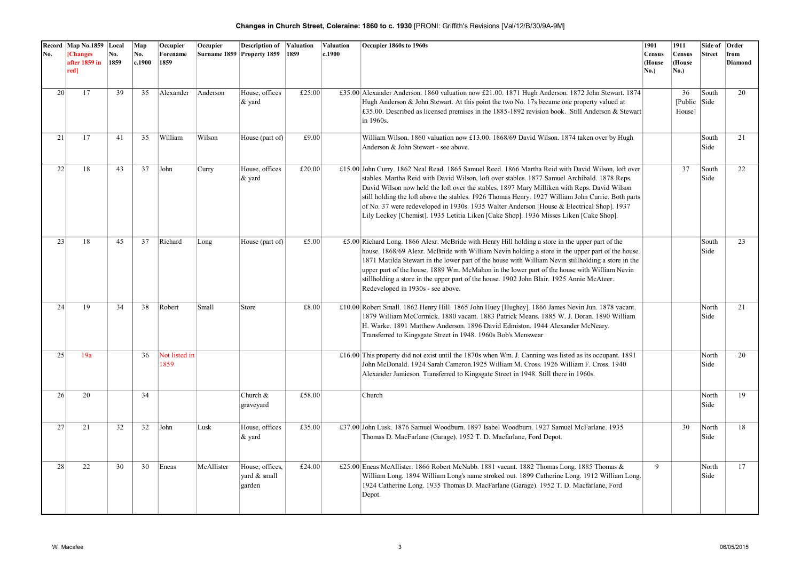| No. | Record Map No.1859 Local<br><b>[Changes</b><br>after 1859 in<br>red] | No.<br>1859 | Map<br>No.<br>c.1900 | Occupier<br>Forename<br>1859 | Occupier   | <b>Description of</b><br>Surname 1859 Property 1859 | Valuation<br>1859 | Valuation<br>c.1900 | Occupier 1860s to 1960s                                                                                                                                                                                                                                                                                                                                                                                                                                                                                                                                                                      | 1901<br>Census<br>(House<br>No.) | 1911<br>Census<br>(House<br>No.)    | Side of<br><b>Street</b> | Order<br>from<br><b>Diamond</b> |
|-----|----------------------------------------------------------------------|-------------|----------------------|------------------------------|------------|-----------------------------------------------------|-------------------|---------------------|----------------------------------------------------------------------------------------------------------------------------------------------------------------------------------------------------------------------------------------------------------------------------------------------------------------------------------------------------------------------------------------------------------------------------------------------------------------------------------------------------------------------------------------------------------------------------------------------|----------------------------------|-------------------------------------|--------------------------|---------------------------------|
| 20  | 17                                                                   | 39          | 35                   | Alexander                    | Anderson   | House, offices<br>$\&$ yard                         | £25.00            |                     | £35.00 Alexander Anderson. 1860 valuation now £21.00. 1871 Hugh Anderson. 1872 John Stewart. 1874<br>Hugh Anderson & John Stewart. At this point the two No. 17s became one property valued at<br>£35.00. Described as licensed premises in the 1885-1892 revision book. Still Anderson & Stewart<br>in 1960s.                                                                                                                                                                                                                                                                               |                                  | 36<br>$[Public \;   Side$<br>House] | South                    | 20                              |
| 21  | 17                                                                   | 41          | 35                   | William                      | Wilson     | House (part of)                                     | £9.00             |                     | William Wilson. 1860 valuation now £13.00. 1868/69 David Wilson. 1874 taken over by Hugh<br>Anderson & John Stewart - see above.                                                                                                                                                                                                                                                                                                                                                                                                                                                             |                                  |                                     | South<br>Side            | 21                              |
| 22  | 18                                                                   | 43          | 37                   | John                         | Curry      | House, offices<br>$\&$ yard                         | £20.00            |                     | £15.00 John Curry. 1862 Neal Read. 1865 Samuel Reed. 1866 Martha Reid with David Wilson, loft over<br>stables. Martha Reid with David Wilson, loft over stables. 1877 Samuel Archibald. 1878 Reps.<br>David Wilson now held the loft over the stables. 1897 Mary Milliken with Reps. David Wilson<br>still holding the loft above the stables. 1926 Thomas Henry. 1927 William John Currie. Both parts<br>of No. 37 were redeveloped in 1930s. 1935 Walter Anderson [House & Electrical Shop]. 1937<br>Lily Leckey [Chemist]. 1935 Letitia Liken [Cake Shop]. 1936 Misses Liken [Cake Shop]. |                                  | 37                                  | South<br>Side            | 22                              |
| 23  | 18                                                                   | 45          | 37                   | Richard                      | Long       | House (part of)                                     | £5.00             |                     | £5.00 Richard Long. 1866 Alexr. McBride with Henry Hill holding a store in the upper part of the<br>house. 1868/69 Alexr. McBride with William Nevin holding a store in the upper part of the house.<br>1871 Matilda Stewart in the lower part of the house with William Nevin stillholding a store in the<br>upper part of the house. 1889 Wm. McMahon in the lower part of the house with William Nevin<br>stillholding a store in the upper part of the house. 1902 John Blair. 1925 Annie McAteer.<br>Redeveloped in 1930s - see above.                                                  |                                  |                                     | South<br>Side            | 23                              |
| 24  | 19                                                                   | 34          | 38                   | Robert                       | Small      | Store                                               | £8.00             |                     | £10.00 Robert Small. 1862 Henry Hill. 1865 John Huey [Hughey]. 1866 James Nevin Jun. 1878 vacant.<br>1879 William McCormick. 1880 vacant. 1883 Patrick Means. 1885 W. J. Doran. 1890 William<br>H. Warke. 1891 Matthew Anderson. 1896 David Edmiston. 1944 Alexander McNeary.<br>Transferred to Kingsgate Street in 1948. 1960s Bob's Menswear                                                                                                                                                                                                                                               |                                  |                                     | North<br>Side            | 21                              |
| 25  | 19a                                                                  |             | 36                   | Not listed in<br>1859        |            |                                                     |                   |                     | £16.00 This property did not exist until the 1870s when Wm. J. Canning was listed as its occupant. 1891<br>John McDonald. 1924 Sarah Cameron. 1925 William M. Cross. 1926 William F. Cross. 1940<br>Alexander Jamieson. Transferred to Kingsgate Street in 1948. Still there in 1960s.                                                                                                                                                                                                                                                                                                       |                                  |                                     | North<br>Side            | 20                              |
| 26  | 20                                                                   |             | 34                   |                              |            | Church &<br>graveyard                               | £58.00            |                     | Church                                                                                                                                                                                                                                                                                                                                                                                                                                                                                                                                                                                       |                                  |                                     | North<br>Side            | 19                              |
| 27  | 21                                                                   | 32          | 32                   | John                         | Lusk       | House, offices<br>$\&$ yard                         | £35.00            |                     | £37.00 John Lusk. 1876 Samuel Woodburn. 1897 Isabel Woodburn. 1927 Samuel McFarlane. 1935<br>Thomas D. MacFarlane (Garage). 1952 T. D. Macfarlane, Ford Depot.                                                                                                                                                                                                                                                                                                                                                                                                                               |                                  | 30                                  | North<br>Side            | 18                              |
| 28  | 22                                                                   | 30          | 30                   | Eneas                        | McAllister | House, offices,<br>vard & small<br>garden           | £24.00            |                     | £25.00 Eneas McAllister. 1866 Robert McNabb. 1881 vacant. 1882 Thomas Long. 1885 Thomas &<br>William Long. 1894 William Long's name stroked out. 1899 Catherine Long. 1912 William Long.<br>1924 Catherine Long. 1935 Thomas D. MacFarlane (Garage). 1952 T. D. Macfarlane, Ford<br>Depot.                                                                                                                                                                                                                                                                                                   | 9                                |                                     | North<br>Side            | 17                              |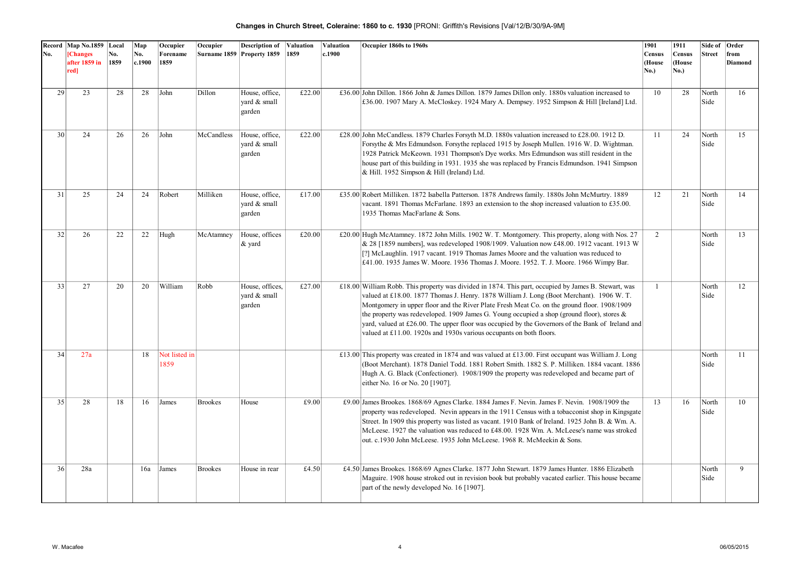| No.             | Record Map No.1859 Local<br><b>[Changes</b><br>after 1859 in | No.<br>1859 | Map<br>No.<br>c.1900 | Occupier<br>Forename<br>1859 | Occupier       | <b>Description of Valuation</b><br>Surname 1859 Property 1859 | 1859   | Valuation<br>c.1900 | Occupier 1860s to 1960s                                                                                                                                                                                                                                                                                                                                                                                                                                                                                                                                                        | 1901<br>Census<br>(House | 1911<br><b>Census</b><br>(House | Side of<br><b>Street</b> | Order<br>from<br>Diamond |
|-----------------|--------------------------------------------------------------|-------------|----------------------|------------------------------|----------------|---------------------------------------------------------------|--------|---------------------|--------------------------------------------------------------------------------------------------------------------------------------------------------------------------------------------------------------------------------------------------------------------------------------------------------------------------------------------------------------------------------------------------------------------------------------------------------------------------------------------------------------------------------------------------------------------------------|--------------------------|---------------------------------|--------------------------|--------------------------|
|                 | red]                                                         |             |                      |                              |                |                                                               |        |                     |                                                                                                                                                                                                                                                                                                                                                                                                                                                                                                                                                                                | No.)                     | <b>No.)</b>                     |                          |                          |
| 29              | 23                                                           | 28          | 28                   | John                         | Dillon         | House, office,<br>vard & small<br>garden                      | £22.00 |                     | £36.00 John Dillon. 1866 John & James Dillon. 1879 James Dillon only. 1880s valuation increased to<br>£36.00. 1907 Mary A. McCloskey. 1924 Mary A. Dempsey. 1952 Simpson & Hill [Ireland] Ltd.                                                                                                                                                                                                                                                                                                                                                                                 | 10                       | 28                              | North<br>Side            | 16                       |
| 30 <sup>1</sup> | 24                                                           | 26          | 26                   | John                         | McCandless     | House, office,<br>vard & small<br>garden                      | £22.00 |                     | £28.00 John McCandless. 1879 Charles Forsyth M.D. 1880s valuation increased to £28.00. 1912 D.<br>Forsythe & Mrs Edmundson. Forsythe replaced 1915 by Joseph Mullen. 1916 W. D. Wightman.<br>1928 Patrick McKeown. 1931 Thompson's Dye works. Mrs Edmundson was still resident in the<br>house part of this building in 1931. 1935 she was replaced by Francis Edmundson. 1941 Simpson<br>& Hill. 1952 Simpson & Hill (Ireland) Ltd.                                                                                                                                           | 11                       | 24                              | North<br>Side            | 15                       |
| 31              | 25                                                           | 24          | 24                   | Robert                       | Milliken       | House, office,<br>vard & small<br>garden                      | £17.00 |                     | £35.00 Robert Milliken. 1872 Isabella Patterson. 1878 Andrews family. 1880s John McMurtry. 1889<br>vacant. 1891 Thomas McFarlane. 1893 an extension to the shop increased valuation to £35.00.<br>1935 Thomas MacFarlane & Sons.                                                                                                                                                                                                                                                                                                                                               | 12                       | 21                              | North<br>Side            | 14                       |
| 32              | 26                                                           | 22          | 22                   | Hugh                         | McAtamney      | House, offices<br>& yard                                      | £20.00 |                     | £20.00 Hugh McAtamney. 1872 John Mills. 1902 W. T. Montgomery. This property, along with Nos. 27<br>& 28 [1859 numbers], was redeveloped 1908/1909. Valuation now £48.00. 1912 vacant. 1913 W<br>[?] McLaughlin. 1917 vacant. 1919 Thomas James Moore and the valuation was reduced to<br>£41.00. 1935 James W. Moore. 1936 Thomas J. Moore. 1952. T. J. Moore. 1966 Wimpy Bar.                                                                                                                                                                                                | $\overline{2}$           |                                 | North<br>Side            | 13                       |
| 33              | 27                                                           | 20          | 20                   | William                      | Robb           | House, offices,<br>vard & small<br>garden                     | £27.00 |                     | £18.00 William Robb. This property was divided in 1874. This part, occupied by James B. Stewart, was<br>valued at £18.00. 1877 Thomas J. Henry. 1878 William J. Long (Boot Merchant). 1906 W. T.<br>Montgomery in upper floor and the River Plate Fresh Meat Co. on the ground floor. 1908/1909<br>the property was redeveloped. 1909 James G. Young occupied a shop (ground floor), stores $\&$<br>yard, valued at $£26.00$ . The upper floor was occupied by the Governors of the Bank of Ireland and<br>valued at £11.00. 1920s and 1930s various occupants on both floors. | $\mathbf{1}$             |                                 | North<br>Side            | 12                       |
| 34              | 27a                                                          |             | 18                   | Not listed in<br>1859        |                |                                                               |        |                     | £13.00 This property was created in 1874 and was valued at £13.00. First occupant was William J. Long<br>(Boot Merchant). 1878 Daniel Todd. 1881 Robert Smith. 1882 S. P. Milliken. 1884 vacant. 1886<br>Hugh A. G. Black (Confectioner). 1908/1909 the property was redeveloped and became part of<br>either No. 16 or No. 20 [1907].                                                                                                                                                                                                                                         |                          |                                 | North<br>Side            | 11                       |
| 35              | 28                                                           | 18          | 16                   | James                        | <b>Brookes</b> | House                                                         | £9.00  |                     | £9.00 James Brookes. 1868/69 Agnes Clarke. 1884 James F. Nevin. James F. Nevin. 1908/1909 the<br>property was redeveloped. Nevin appears in the 1911 Census with a tobacconist shop in Kingsgate<br>Street. In 1909 this property was listed as vacant. 1910 Bank of Ireland. 1925 John B. & Wm. A.<br>McLeese. 1927 the valuation was reduced to £48.00. 1928 Wm. A. McLeese's name was stroked<br>out. c.1930 John McLeese. 1935 John McLeese. 1968 R. McMeekin & Sons.                                                                                                      | 13                       | 16                              | North<br>Side            | 10                       |
| 36              | 28a                                                          |             | 16a                  | James                        | <b>Brookes</b> | House in rear                                                 | £4.50  |                     | £4.50 James Brookes. 1868/69 Agnes Clarke. 1877 John Stewart. 1879 James Hunter. 1886 Elizabeth<br>Maguire. 1908 house stroked out in revision book but probably vacated earlier. This house became<br>part of the newly developed No. 16 [1907].                                                                                                                                                                                                                                                                                                                              |                          |                                 | North<br>Side            | 9                        |